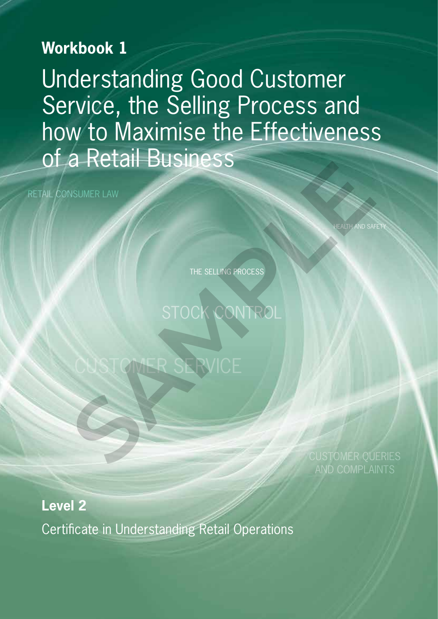# **Workbook 1**

Understanding Good Customer Service, the Selling Process and how to Maximise the Effectiveness of a Retail Business NSUMERLAW<br>
THE SELLING PROCESS<br>
STOCK CONTROL<br>
CUSTOMER SERVICE

RETAIL CONSUMER LAW

**HEALTH AND SAFET** 

THE SELLING PROCESS

STOCK CONTROL

**Level 2**

Certificate in Understanding Retail Operations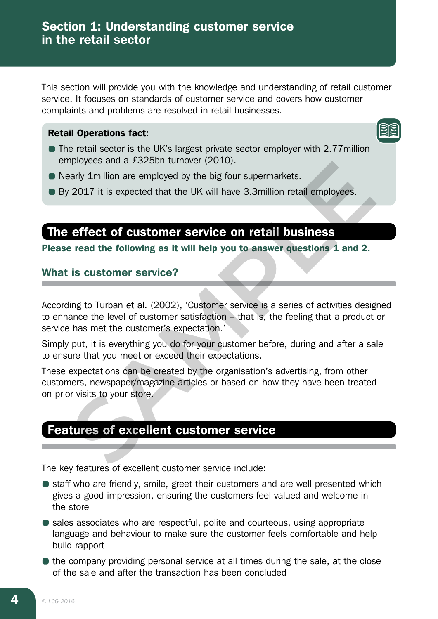This section will provide you with the knowledge and understanding of retail customer service. It focuses on standards of customer service and covers how customer complaints and problems are resolved in retail businesses.

### Retail Operations fact:

- The retail sector is the UK's largest private sector employer with 2.77million employees and a £325bn turnover (2010).
- Nearly 1 million are employed by the big four supermarkets.
- By 2017 it is expected that the UK will have 3.3million retail employees.

# The effect of customer service on retail business

Please read the following as it will help you to answer questions 1 and 2.

# What is customer service?

According to Turban et al. (2002), 'Customer service is a series of activities designed to enhance the level of customer satisfaction – that is, the feeling that a product or service has met the customer's expectation.'

Simply put, it is everything you do for your customer before, during and after a sale to ensure that you meet or exceed their expectations.

These expectations can be created by the organisation's advertising, from other customers, newspaper/magazine articles or based on how they have been treated on prior visits to your store. phoyees and a zazobri dimover (2010).<br>
Sarly 1million are employed by the big four supermarkets.<br>
2017 it is expected that the UK will have 3.3million retail employees.<br> **SERVE COMPTER COMPT SERVICE ON THE DUSTERS**<br>
Final

# Features of excellent customer service

The key features of excellent customer service include:

- staff who are friendly, smile, greet their customers and are well presented which gives a good impression, ensuring the customers feel valued and welcome in the store
- sales associates who are respectful, polite and courteous, using appropriate language and behaviour to make sure the customer feels comfortable and help build rapport
- the company providing personal service at all times during the sale, at the close of the sale and after the transaction has been concluded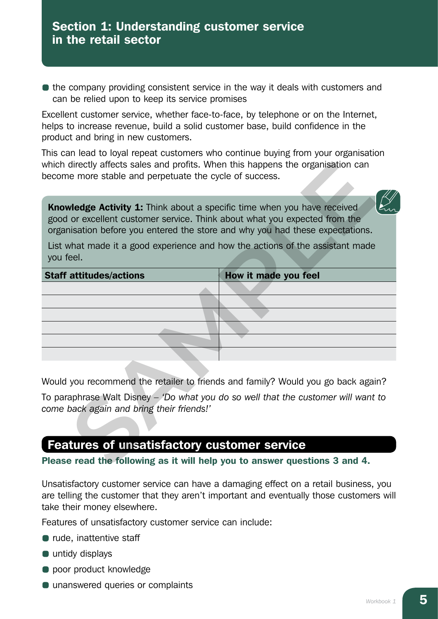$\bullet$  the company providing consistent service in the way it deals with customers and can be relied upon to keep its service promises

Excellent customer service, whether face-to-face, by telephone or on the Internet, helps to increase revenue, build a solid customer base, build confidence in the product and bring in new customers.

This can lead to loyal repeat customers who continue buying from your organisation which directly affects sales and profits. When this happens the organisation can become more stable and perpetuate the cycle of success.

| which directly affects sales and profits. When this happens the organisation can<br>become more stable and perpetuate the cycle of success.<br><b>Knowledge Activity 1:</b> Think about a specific time when you have received<br>good or excellent customer service. Think about what you expected from the<br>organisation before you entered the store and why you had these expectations. |                      |  |
|-----------------------------------------------------------------------------------------------------------------------------------------------------------------------------------------------------------------------------------------------------------------------------------------------------------------------------------------------------------------------------------------------|----------------------|--|
|                                                                                                                                                                                                                                                                                                                                                                                               |                      |  |
| <b>Staff attitudes/actions</b>                                                                                                                                                                                                                                                                                                                                                                | How it made you feel |  |
|                                                                                                                                                                                                                                                                                                                                                                                               |                      |  |
|                                                                                                                                                                                                                                                                                                                                                                                               |                      |  |
|                                                                                                                                                                                                                                                                                                                                                                                               |                      |  |
|                                                                                                                                                                                                                                                                                                                                                                                               |                      |  |
|                                                                                                                                                                                                                                                                                                                                                                                               |                      |  |
|                                                                                                                                                                                                                                                                                                                                                                                               |                      |  |
| Would you recommend the retailer to friends and family? Would you go back again?                                                                                                                                                                                                                                                                                                              |                      |  |
| To paraphrase Walt Disney $-$ 'Do what you do so well that the customer will want to<br>come back again and bring their friends!'                                                                                                                                                                                                                                                             |                      |  |
|                                                                                                                                                                                                                                                                                                                                                                                               |                      |  |
| <b>Features of unsatisfactory customer service</b>                                                                                                                                                                                                                                                                                                                                            |                      |  |
| Please read the following as it will help you to answer questions 3 and 4.                                                                                                                                                                                                                                                                                                                    |                      |  |

# Features of unsatisfactory customer service

### Please read the following as it will help you to answer questions 3 and 4.

Unsatisfactory customer service can have a damaging effect on a retail business, you are telling the customer that they aren't important and eventually those customers will take their money elsewhere.

Features of unsatisfactory customer service can include:

- rude, inattentive staff
- untidy displays
- **poor product knowledge**
- **Q** unanswered queries or complaints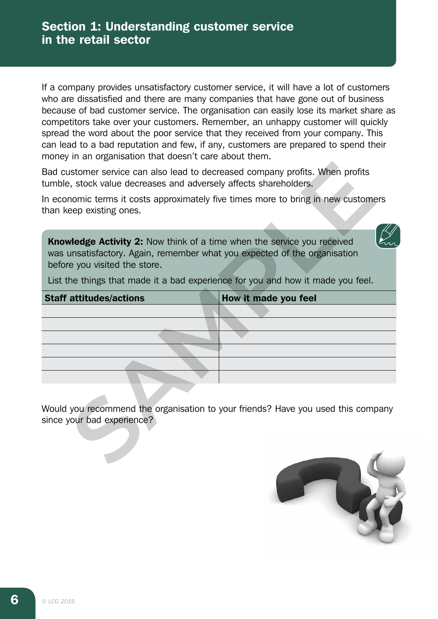If a company provides unsatisfactory customer service, it will have a lot of customers who are dissatisfied and there are many companies that have gone out of business because of bad customer service. The organisation can easily lose its market share as competitors take over your customers. Remember, an unhappy customer will quickly spread the word about the poor service that they received from your company. This can lead to a bad reputation and few, if any, customers are prepared to spend their money in an organisation that doesn't care about them.

| Bad customer service can also lead to decreased company profits. When profits<br>tumble, stock value decreases and adversely affects shareholders.                                           |                                                                                    |
|----------------------------------------------------------------------------------------------------------------------------------------------------------------------------------------------|------------------------------------------------------------------------------------|
| than keep existing ones.                                                                                                                                                                     | In economic terms it costs approximately five times more to bring in new customers |
|                                                                                                                                                                                              |                                                                                    |
| <b>Knowledge Activity 2:</b> Now think of a time when the service you received<br>was unsatisfactory. Again, remember what you expected of the organisation<br>before you visited the store. |                                                                                    |
|                                                                                                                                                                                              | List the things that made it a bad experience for you and how it made you feel.    |
| <b>Staff attitudes/actions</b>                                                                                                                                                               | How it made you feel                                                               |
|                                                                                                                                                                                              |                                                                                    |
|                                                                                                                                                                                              |                                                                                    |
|                                                                                                                                                                                              |                                                                                    |
|                                                                                                                                                                                              |                                                                                    |
|                                                                                                                                                                                              |                                                                                    |
|                                                                                                                                                                                              |                                                                                    |
| since your bad experience?                                                                                                                                                                   | Would you recommend the organisation to your friends? Have you used this company   |
|                                                                                                                                                                                              |                                                                                    |

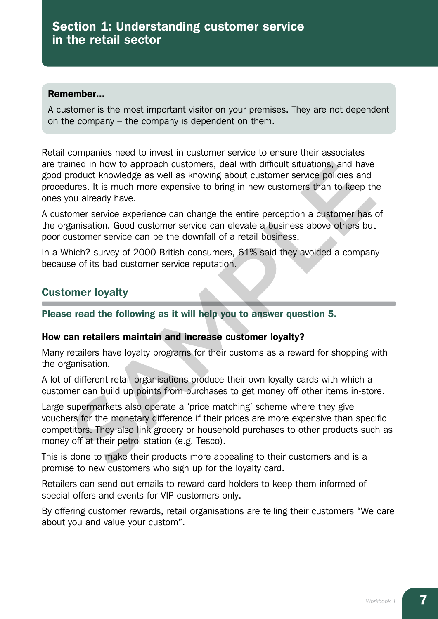#### Remember...

A customer is the most important visitor on your premises. They are not dependent on the company – the company is dependent on them.

Retail companies need to invest in customer service to ensure their associates are trained in how to approach customers, deal with difficult situations, and have good product knowledge as well as knowing about customer service policies and procedures. It is much more expensive to bring in new customers than to keep the ones you already have.

A customer service experience can change the entire perception a customer has of the organisation. Good customer service can elevate a business above others but poor customer service can be the downfall of a retail business.

In a Which? survey of 2000 British consumers, 61% said they avoided a company because of its bad customer service reputation.

# Customer loyalty

Please read the following as it will help you to answer question 5.

### How can retailers maintain and increase customer loyalty?

Many retailers have loyalty programs for their customs as a reward for shopping with the organisation.

A lot of different retail organisations produce their own loyalty cards with which a customer can build up points from purchases to get money off other items in-store.

Large supermarkets also operate a 'price matching' scheme where they give vouchers for the monetary difference if their prices are more expensive than specific competitors. They also link grocery or household purchases to other products such as money off at their petrol station (e.g. Tesco). ined in how to approach customers, deal with difficult situations, and have<br>product knowledge as well as knowing about customer service policies and<br>tures. It is much more expensive to bring in new customers than to keep t

This is done to make their products more appealing to their customers and is a promise to new customers who sign up for the loyalty card.

Retailers can send out emails to reward card holders to keep them informed of special offers and events for VIP customers only.

By offering customer rewards, retail organisations are telling their customers "We care about you and value your custom".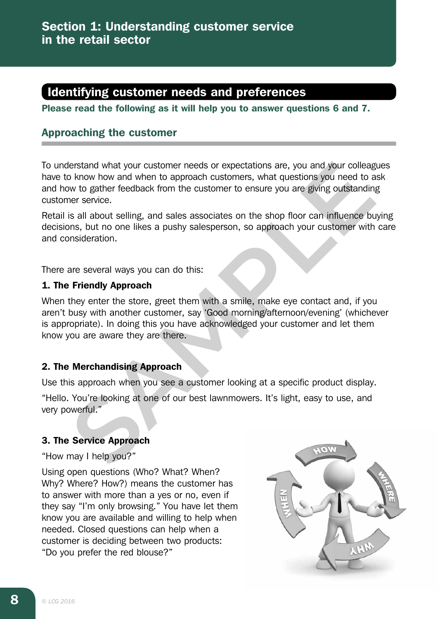# Identifying customer needs and preferences

Please read the following as it will help you to answer questions 6 and 7.

# Approaching the customer

To understand what your customer needs or expectations are, you and your colleagues have to know how and when to approach customers, what questions you need to ask and how to gather feedback from the customer to ensure you are giving outstanding customer service.

Retail is all about selling, and sales associates on the shop floor can influence buying decisions, but no one likes a pushy salesperson, so approach your customer with care and consideration.

There are several ways you can do this:

# 1. The Friendly Approach

When they enter the store, greet them with a smile, make eye contact and, if you aren't busy with another customer, say 'Good morning/afternoon/evening' (whichever is appropriate). In doing this you have acknowledged your customer and let them know you are aware they are there. Interstand what your customer needs or expectations are, you and your colleage<br>
Show how and when to approach customers, what questions you need to a<br>
bike to gather feedback from the customer to ensure you are giving outs

# 2. The Merchandising Approach

Use this approach when you see a customer looking at a specific product display.

"Hello. You're looking at one of our best lawnmowers. It's light, easy to use, and very powerful."

# 3. The Service Approach

"How may I help you?"

Using open questions (Who? What? When? Why? Where? How?) means the customer has to answer with more than a yes or no, even if they say "I'm only browsing." You have let them know you are available and willing to help when needed. Closed questions can help when a customer is deciding between two products: "Do you prefer the red blouse?"

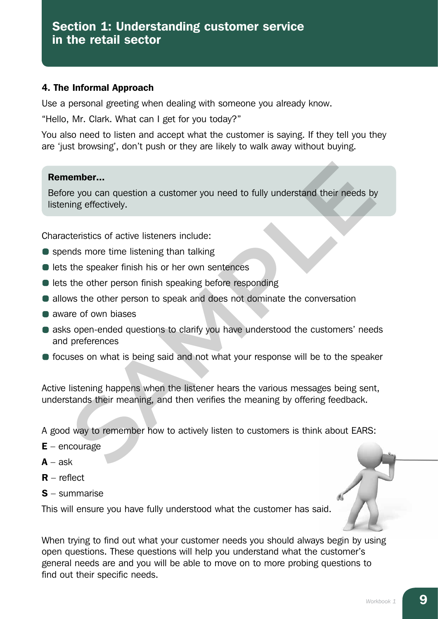## 4. The Informal Approach

Use a personal greeting when dealing with someone you already know.

"Hello, Mr. Clark. What can I get for you today?"

You also need to listen and accept what the customer is saying. If they tell you they are 'just browsing', don't push or they are likely to walk away without buying.

### Remember...

Before you can question a customer you need to fully understand their needs by listening effectively. **Exampler...**<br>The you can question a customer you need to fully understand their needs by<br>theristics of active listeners include:<br>The speaker finish his or her own sentences<br>the other person finish speaking before respondi

Characteristics of active listeners include:

- spends more time listening than talking
- $\bullet$  lets the speaker finish his or her own sentences
- lets the other person finish speaking before responding
- allows the other person to speak and does not dominate the conversation
- **a** aware of own biases
- asks open-ended questions to clarify you have understood the customers' needs and preferences
- **•** focuses on what is being said and not what your response will be to the speaker

Active listening happens when the listener hears the various messages being sent, understands their meaning, and then verifies the meaning by offering feedback.

A good way to remember how to actively listen to customers is think about EARS:

- $E$  encourage
- $A ask$
- $R$  reflect
- S summarise

This will ensure you have fully understood what the customer has said.

When trying to find out what your customer needs you should always begin by using open questions. These questions will help you understand what the customer's general needs are and you will be able to move on to more probing questions to find out their specific needs.